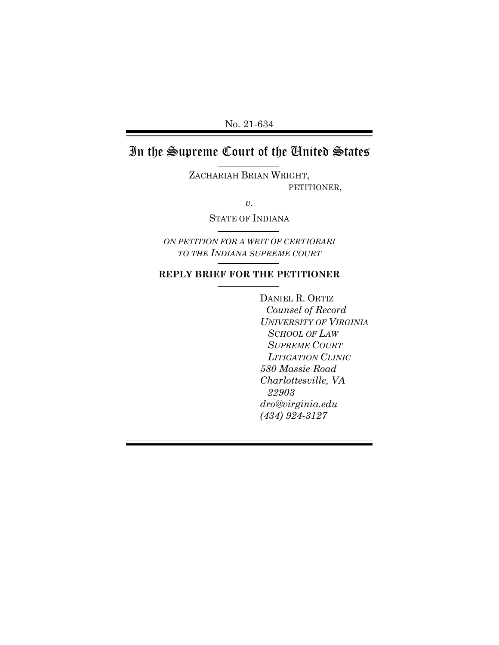No. 21-634

# In the Supreme Court of the United States

ZACHARIAH BRIAN WRIGHT, PETITIONER,

*v.* 

STATE OF INDIANA

*ON PETITION FOR A WRIT OF CERTIORARI TO THE INDIANA SUPREME COURT*

#### **REPLY BRIEF FOR THE PETITIONER**

DANIEL R. ORTIZ *Counsel of Record UNIVERSITY OF VIRGINIA SCHOOL OF LAW SUPREME COURT LITIGATION CLINIC 580 Massie Road Charlottesville, VA 22903 dro@virginia.edu (434) 924-3127*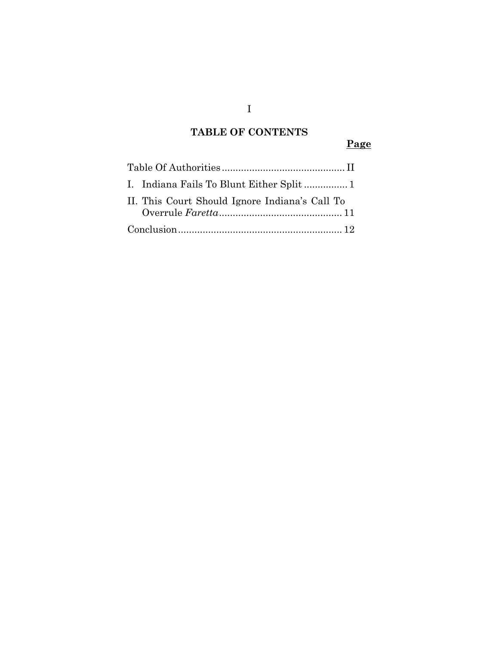# **TABLE OF CONTENTS**

 **Page** 

| II. This Court Should Ignore Indiana's Call To |  |
|------------------------------------------------|--|
|                                                |  |

I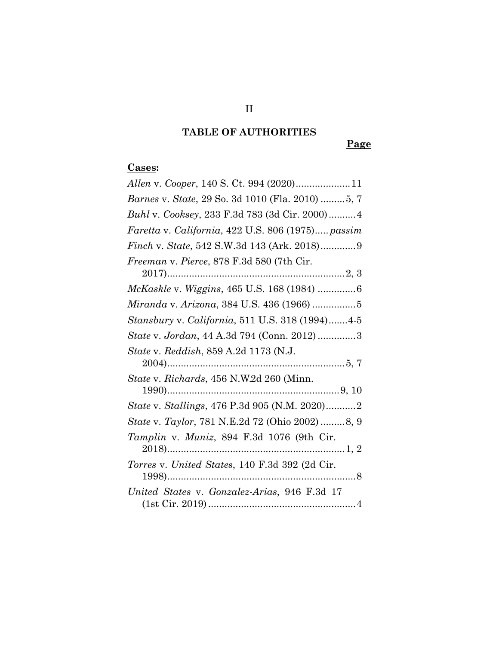# **TABLE OF AUTHORITIES**

 **Page** 

#### **Cases:**

| <i>Barnes v. State, 29 So. 3d 1010 (Fla. 2010) 5, 7</i> |
|---------------------------------------------------------|
| Buhl v. Cooksey, 233 F.3d 783 (3d Cir. 2000) 4          |
| Faretta v. California, 422 U.S. 806 (1975) passim       |
|                                                         |
| Freeman v. Pierce, 878 F.3d 580 (7th Cir.               |
| McKaskle v. Wiggins, 465 U.S. 168 (1984) 6              |
| Miranda v. Arizona, 384 U.S. 436 (1966) 5               |
| Stansbury v. California, 511 U.S. 318 (1994)4-5         |
| State v. Jordan, 44 A.3d 794 (Conn. 2012)3              |
| <i>State v. Reddish, 859 A.2d 1173 (N.J.</i>            |
| State v. Richards, 456 N.W.2d 260 (Minn.                |
| State v. Stallings, 476 P.3d 905 (N.M. 2020)2           |
| State v. Taylor, 781 N.E.2d 72 (Ohio 2002) 8, 9         |
| Tamplin v. Muniz, 894 F.3d 1076 (9th Cir.               |
| Torres v. United States, 140 F.3d 392 (2d Cir.          |
| United States v. Gonzalez-Arias, 946 F.3d 17            |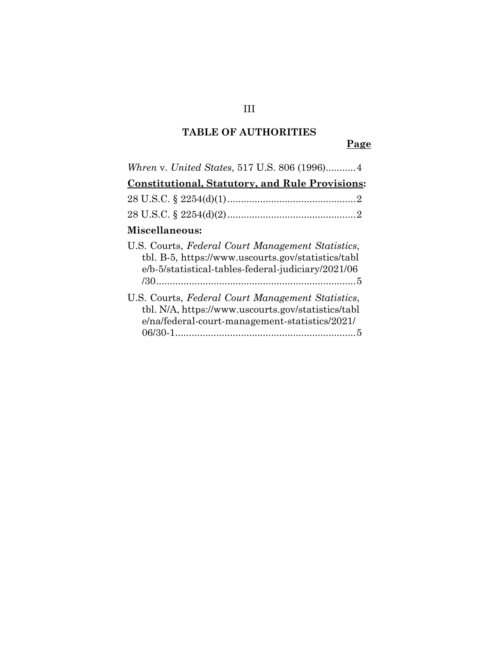### **TABLE OF AUTHORITIES**

 **Page** 

| Whren v. United States, 517 U.S. 806 (1996)4                                                                                                                  |
|---------------------------------------------------------------------------------------------------------------------------------------------------------------|
| <b>Constitutional, Statutory, and Rule Provisions:</b>                                                                                                        |
|                                                                                                                                                               |
|                                                                                                                                                               |
| Miscellaneous:                                                                                                                                                |
| U.S. Courts, Federal Court Management Statistics,<br>tbl. B-5, https://www.uscourts.gov/statistics/tabl<br>e/b-5/statistical-tables-federal-judiciary/2021/06 |
| U.S. Courts, Federal Court Management Statistics,<br>tbl. N/A, https://www.uscourts.gov/statistics/tabl<br>e/na/federal-court-management-statistics/2021/     |

### III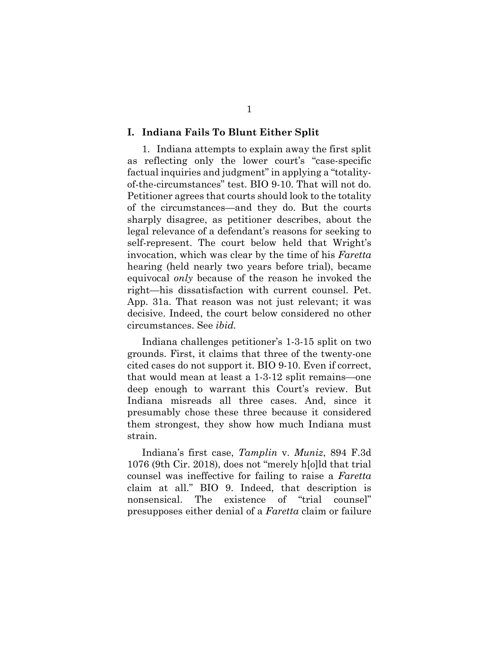#### **I. Indiana Fails To Blunt Either Split**

1. Indiana attempts to explain away the first split as reflecting only the lower court's "case-specific factual inquiries and judgment" in applying a "totalityof-the-circumstances" test. BIO 9-10. That will not do. Petitioner agrees that courts should look to the totality of the circumstances—and they do. But the courts sharply disagree, as petitioner describes, about the legal relevance of a defendant's reasons for seeking to self-represent. The court below held that Wright's invocation, which was clear by the time of his *Faretta* hearing (held nearly two years before trial), became equivocal *only* because of the reason he invoked the right—his dissatisfaction with current counsel. Pet. App. 31a. That reason was not just relevant; it was decisive. Indeed, the court below considered no other circumstances. See *ibid.*

Indiana challenges petitioner's 1-3-15 split on two grounds. First, it claims that three of the twenty-one cited cases do not support it. BIO 9-10. Even if correct, that would mean at least a 1-3-12 split remains—one deep enough to warrant this Court's review. But Indiana misreads all three cases. And, since it presumably chose these three because it considered them strongest, they show how much Indiana must strain.

Indiana's first case, *Tamplin* v. *Muniz*, 894 F.3d 1076 (9th Cir. 2018), does not "merely h[o]ld that trial counsel was ineffective for failing to raise a *Faretta* claim at all." BIO 9. Indeed, that description is nonsensical. The existence of "trial counsel" presupposes either denial of a *Faretta* claim or failure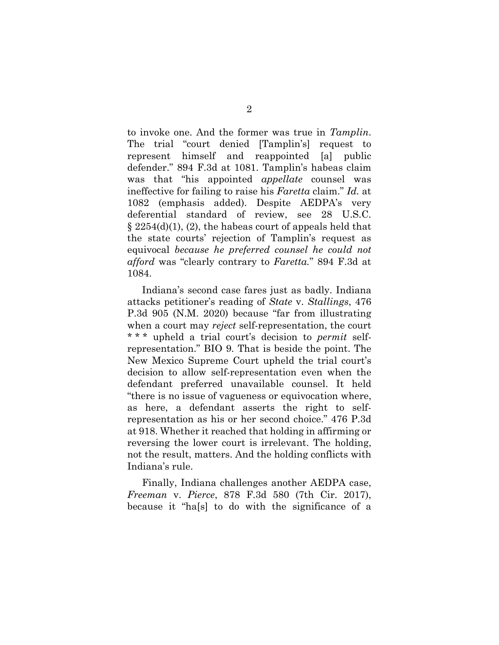to invoke one. And the former was true in *Tamplin*. The trial "court denied [Tamplin's] request to represent himself and reappointed [a] public defender." 894 F.3d at 1081. Tamplin's habeas claim was that "his appointed *appellate* counsel was ineffective for failing to raise his *Faretta* claim." *Id.* at 1082 (emphasis added). Despite AEDPA's very deferential standard of review, see 28 U.S.C.  $\S 2254(d)(1)$ , (2), the habeas court of appeals held that the state courts' rejection of Tamplin's request as equivocal *because he preferred counsel he could not afford* was "clearly contrary to *Faretta.*" 894 F.3d at 1084.

Indiana's second case fares just as badly. Indiana attacks petitioner's reading of *State* v. *Stallings*, 476 P.3d 905 (N.M. 2020) because "far from illustrating when a court may *reject* self-representation, the court \* \* \* upheld a trial court's decision to *permit* selfrepresentation." BIO 9. That is beside the point. The New Mexico Supreme Court upheld the trial court's decision to allow self-representation even when the defendant preferred unavailable counsel. It held "there is no issue of vagueness or equivocation where, as here, a defendant asserts the right to selfrepresentation as his or her second choice." 476 P.3d at 918. Whether it reached that holding in affirming or reversing the lower court is irrelevant. The holding, not the result, matters. And the holding conflicts with Indiana's rule.

Finally, Indiana challenges another AEDPA case, *Freeman* v. *Pierce*, 878 F.3d 580 (7th Cir. 2017), because it "ha[s] to do with the significance of a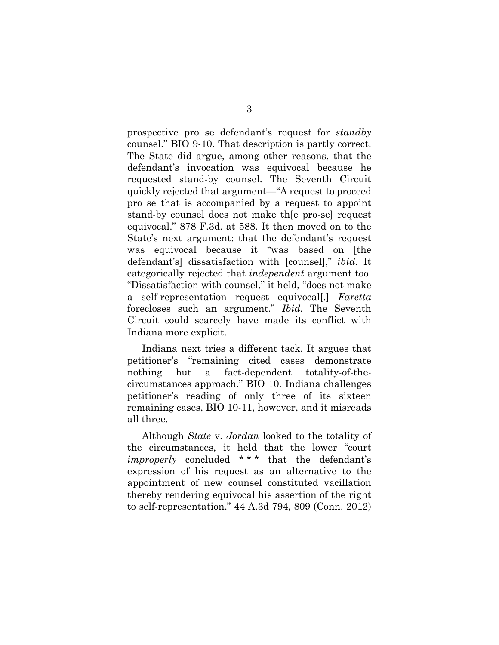prospective pro se defendant's request for *standby* counsel." BIO 9-10. That description is partly correct. The State did argue, among other reasons, that the defendant's invocation was equivocal because he requested stand-by counsel. The Seventh Circuit quickly rejected that argument—"A request to proceed pro se that is accompanied by a request to appoint stand-by counsel does not make th[e pro-se] request equivocal." 878 F.3d. at 588. It then moved on to the State's next argument: that the defendant's request was equivocal because it "was based on [the defendant's] dissatisfaction with [counsel]," *ibid.* It categorically rejected that *independent* argument too. "Dissatisfaction with counsel," it held, "does not make a self-representation request equivocal[.] *Faretta* forecloses such an argument." *Ibid.* The Seventh Circuit could scarcely have made its conflict with Indiana more explicit.

Indiana next tries a different tack. It argues that petitioner's "remaining cited cases demonstrate nothing but a fact-dependent totality-of-thecircumstances approach." BIO 10. Indiana challenges petitioner's reading of only three of its sixteen remaining cases, BIO 10-11, however, and it misreads all three.

Although *State* v. *Jordan* looked to the totality of the circumstances, it held that the lower "court *improperly* concluded \* \* \* that the defendant's expression of his request as an alternative to the appointment of new counsel constituted vacillation thereby rendering equivocal his assertion of the right to self-representation." 44 A.3d 794, 809 (Conn. 2012)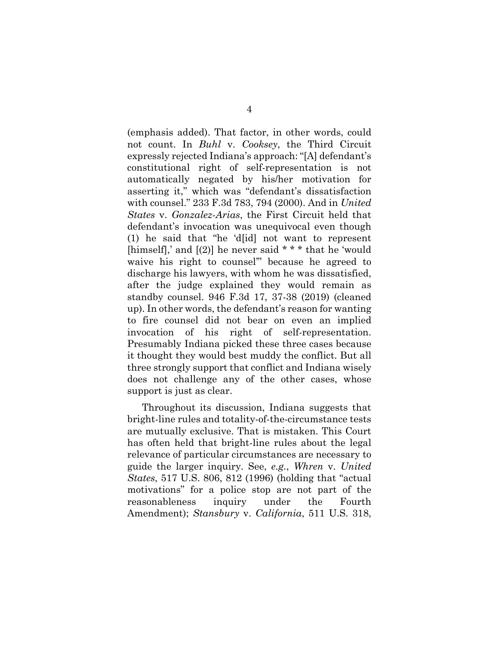(emphasis added). That factor, in other words, could not count. In *Buhl* v. *Cooksey*, the Third Circuit expressly rejected Indiana's approach: "[A] defendant's constitutional right of self-representation is not automatically negated by his/her motivation for asserting it," which was "defendant's dissatisfaction with counsel." 233 F.3d 783, 794 (2000). And in *United States* v. *Gonzalez-Arias*, the First Circuit held that defendant's invocation was unequivocal even though (1) he said that "he 'd[id] not want to represent [himself],' and  $[(2)]$  he never said \* \* \* that he 'would waive his right to counsel'" because he agreed to discharge his lawyers, with whom he was dissatisfied, after the judge explained they would remain as standby counsel. 946 F.3d 17, 37-38 (2019) (cleaned up). In other words, the defendant's reason for wanting to fire counsel did not bear on even an implied invocation of his right of self-representation. Presumably Indiana picked these three cases because it thought they would best muddy the conflict. But all three strongly support that conflict and Indiana wisely does not challenge any of the other cases, whose support is just as clear.

Throughout its discussion, Indiana suggests that bright-line rules and totality-of-the-circumstance tests are mutually exclusive. That is mistaken. This Court has often held that bright-line rules about the legal relevance of particular circumstances are necessary to guide the larger inquiry. See, *e.g.*, *Whren* v. *United States*, 517 U.S. 806, 812 (1996) (holding that "actual motivations" for a police stop are not part of the reasonableness inquiry under the Fourth Amendment); *Stansbury* v. *California*, 511 U.S. 318,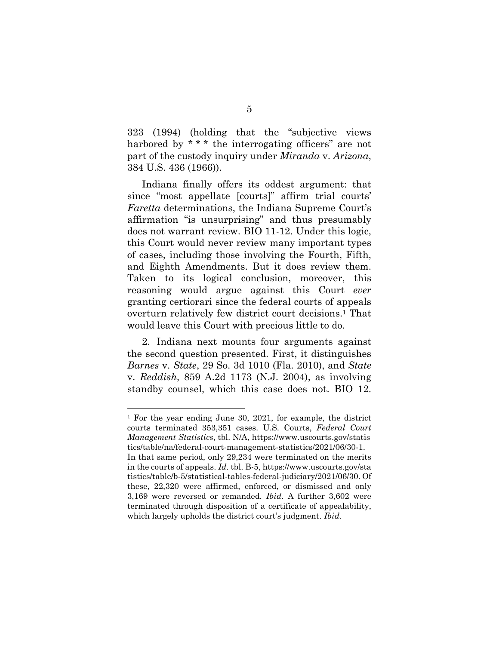323 (1994) (holding that the "subjective views harbored by \*\*\* the interrogating officers" are not part of the custody inquiry under *Miranda* v. *Arizona*, 384 U.S. 436 (1966)).

Indiana finally offers its oddest argument: that since "most appellate [courts]" affirm trial courts' *Faretta* determinations, the Indiana Supreme Court's affirmation "is unsurprising" and thus presumably does not warrant review. BIO 11-12. Under this logic, this Court would never review many important types of cases, including those involving the Fourth, Fifth, and Eighth Amendments. But it does review them. Taken to its logical conclusion, moreover, this reasoning would argue against this Court *ever* granting certiorari since the federal courts of appeals overturn relatively few district court decisions.1 That would leave this Court with precious little to do.

2. Indiana next mounts four arguments against the second question presented. First, it distinguishes *Barnes* v. *State*, 29 So. 3d 1010 (Fla. 2010), and *State* v. *Reddish*, 859 A.2d 1173 (N.J. 2004), as involving standby counsel, which this case does not. BIO 12.

1 For the year ending June 30, 2021, for example, the district courts terminated 353,351 cases. U.S. Courts, *Federal Court Management Statistics*, tbl. N/A, https://www.uscourts.gov/statis tics/table/na/federal-court-management-statistics/2021/06/30-1. In that same period, only 29,234 were terminated on the merits in the courts of appeals. *Id*. tbl. B-5, https://www.uscourts.gov/sta tistics/table/b-5/statistical-tables-federal-judiciary/2021/06/30. Of these, 22,320 were affirmed, enforced, or dismissed and only 3,169 were reversed or remanded. *Ibid*. A further 3,602 were terminated through disposition of a certificate of appealability, which largely upholds the district court's judgment. *Ibid*.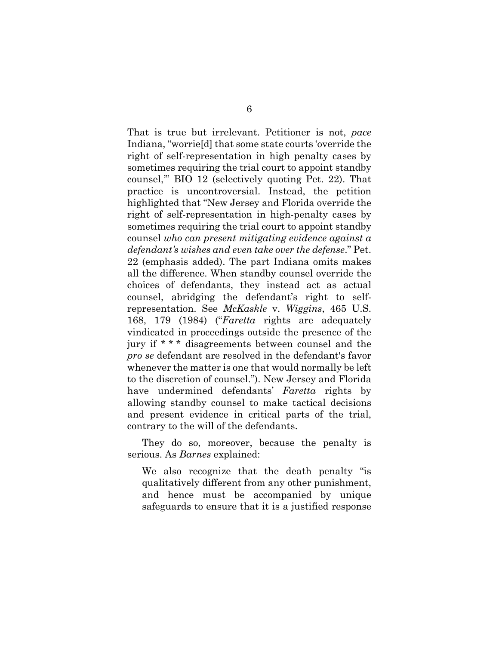That is true but irrelevant. Petitioner is not, *pace* Indiana, "worrie[d] that some state courts 'override the right of self-representation in high penalty cases by sometimes requiring the trial court to appoint standby counsel,'" BIO 12 (selectively quoting Pet. 22). That practice is uncontroversial. Instead, the petition highlighted that "New Jersey and Florida override the right of self-representation in high-penalty cases by sometimes requiring the trial court to appoint standby counsel *who can present mitigating evidence against a defendant's wishes and even take over the defense*." Pet. 22 (emphasis added). The part Indiana omits makes all the difference. When standby counsel override the choices of defendants, they instead act as actual counsel, abridging the defendant's right to selfrepresentation. See *McKaskle* v. *Wiggins*, 465 U.S. 168, 179 (1984) ("*Faretta* rights are adequately vindicated in proceedings outside the presence of the jury if \* \* \* disagreements between counsel and the *pro se* defendant are resolved in the defendant's favor whenever the matter is one that would normally be left to the discretion of counsel."). New Jersey and Florida have undermined defendants' *Faretta* rights by allowing standby counsel to make tactical decisions and present evidence in critical parts of the trial, contrary to the will of the defendants.

They do so, moreover, because the penalty is serious. As *Barnes* explained:

We also recognize that the death penalty "is qualitatively different from any other punishment, and hence must be accompanied by unique safeguards to ensure that it is a justified response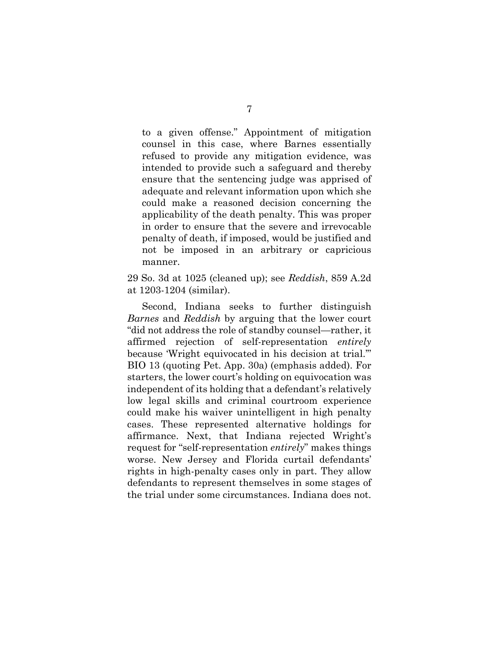to a given offense." Appointment of mitigation counsel in this case, where Barnes essentially refused to provide any mitigation evidence, was intended to provide such a safeguard and thereby ensure that the sentencing judge was apprised of adequate and relevant information upon which she could make a reasoned decision concerning the applicability of the death penalty. This was proper in order to ensure that the severe and irrevocable penalty of death, if imposed, would be justified and not be imposed in an arbitrary or capricious manner.

29 So. 3d at 1025 (cleaned up); see *Reddish*, 859 A.2d at 1203-1204 (similar).

Second, Indiana seeks to further distinguish *Barnes* and *Reddish* by arguing that the lower court "did not address the role of standby counsel—rather, it affirmed rejection of self-representation *entirely* because 'Wright equivocated in his decision at trial.'" BIO 13 (quoting Pet. App. 30a) (emphasis added). For starters, the lower court's holding on equivocation was independent of its holding that a defendant's relatively low legal skills and criminal courtroom experience could make his waiver unintelligent in high penalty cases. These represented alternative holdings for affirmance. Next, that Indiana rejected Wright's request for "self-representation *entirely*" makes things worse. New Jersey and Florida curtail defendants' rights in high-penalty cases only in part. They allow defendants to represent themselves in some stages of the trial under some circumstances. Indiana does not.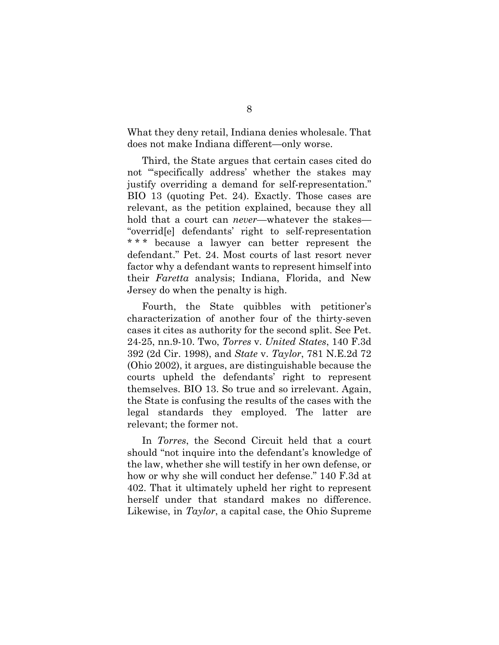What they deny retail, Indiana denies wholesale. That does not make Indiana different—only worse.

Third, the State argues that certain cases cited do not "specifically address' whether the stakes may justify overriding a demand for self-representation." BIO 13 (quoting Pet. 24). Exactly. Those cases are relevant, as the petition explained, because they all hold that a court can *never*—whatever the stakes— "overrid[e] defendants' right to self-representation \*\*\* because a lawyer can better represent the defendant." Pet. 24. Most courts of last resort never factor why a defendant wants to represent himself into their *Faretta* analysis; Indiana, Florida, and New Jersey do when the penalty is high.

Fourth, the State quibbles with petitioner's characterization of another four of the thirty-seven cases it cites as authority for the second split. See Pet. 24-25, nn.9-10. Two, *Torres* v. *United States*, 140 F.3d 392 (2d Cir. 1998), and *State* v. *Taylor*, 781 N.E.2d 72 (Ohio 2002), it argues, are distinguishable because the courts upheld the defendants' right to represent themselves. BIO 13. So true and so irrelevant. Again, the State is confusing the results of the cases with the legal standards they employed. The latter are relevant; the former not.

In *Torres*, the Second Circuit held that a court should "not inquire into the defendant's knowledge of the law, whether she will testify in her own defense, or how or why she will conduct her defense." 140 F.3d at 402. That it ultimately upheld her right to represent herself under that standard makes no difference. Likewise, in *Taylor*, a capital case, the Ohio Supreme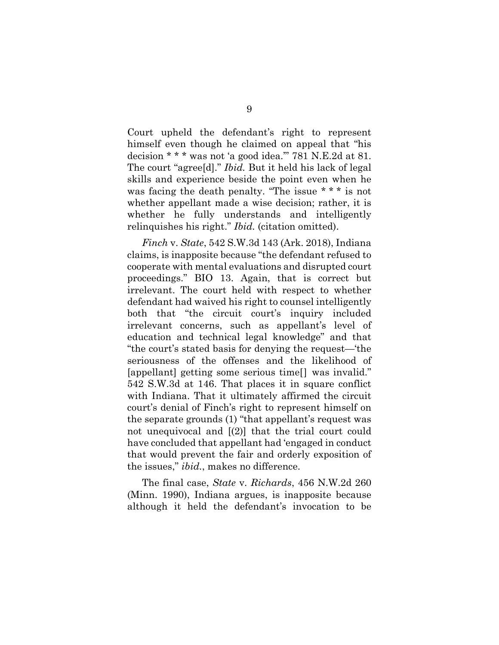Court upheld the defendant's right to represent himself even though he claimed on appeal that "his decision \* \* \* was not 'a good idea.'" 781 N.E.2d at 81. The court "agree[d]." *Ibid.* But it held his lack of legal skills and experience beside the point even when he was facing the death penalty. "The issue \* \* \* is not whether appellant made a wise decision; rather, it is whether he fully understands and intelligently relinquishes his right." *Ibid.* (citation omitted).

*Finch* v. *State*, 542 S.W.3d 143 (Ark. 2018), Indiana claims, is inapposite because "the defendant refused to cooperate with mental evaluations and disrupted court proceedings." BIO 13. Again, that is correct but irrelevant. The court held with respect to whether defendant had waived his right to counsel intelligently both that "the circuit court's inquiry included irrelevant concerns, such as appellant's level of education and technical legal knowledge" and that "the court's stated basis for denying the request—'the seriousness of the offenses and the likelihood of [appellant] getting some serious time[] was invalid." 542 S.W.3d at 146. That places it in square conflict with Indiana. That it ultimately affirmed the circuit court's denial of Finch's right to represent himself on the separate grounds (1) "that appellant's request was not unequivocal and [(2)] that the trial court could have concluded that appellant had 'engaged in conduct that would prevent the fair and orderly exposition of the issues," *ibid.*, makes no difference.

The final case, *State* v. *Richards*, 456 N.W.2d 260 (Minn. 1990), Indiana argues, is inapposite because although it held the defendant's invocation to be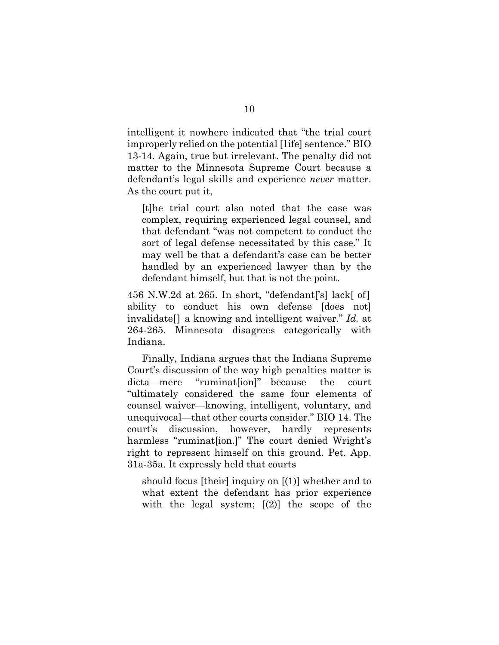intelligent it nowhere indicated that "the trial court improperly relied on the potential [life] sentence." BIO 13-14. Again, true but irrelevant. The penalty did not matter to the Minnesota Supreme Court because a defendant's legal skills and experience *never* matter. As the court put it,

[t]he trial court also noted that the case was complex, requiring experienced legal counsel, and that defendant "was not competent to conduct the sort of legal defense necessitated by this case." It may well be that a defendant's case can be better handled by an experienced lawyer than by the defendant himself, but that is not the point.

456 N.W.2d at 265. In short, "defendant['s] lack[ of] ability to conduct his own defense [does not] invalidate[] a knowing and intelligent waiver." *Id.* at 264-265. Minnesota disagrees categorically with Indiana.

Finally, Indiana argues that the Indiana Supreme Court's discussion of the way high penalties matter is dicta—mere "ruminat[ion]"—because the court "ultimately considered the same four elements of counsel waiver—knowing, intelligent, voluntary, and unequivocal—that other courts consider." BIO 14. The court's discussion, however, hardly represents harmless "ruminatsion.]" The court denied Wright's right to represent himself on this ground. Pet. App. 31a-35a. It expressly held that courts

should focus [their] inquiry on [(1)] whether and to what extent the defendant has prior experience with the legal system;  $(2)$  the scope of the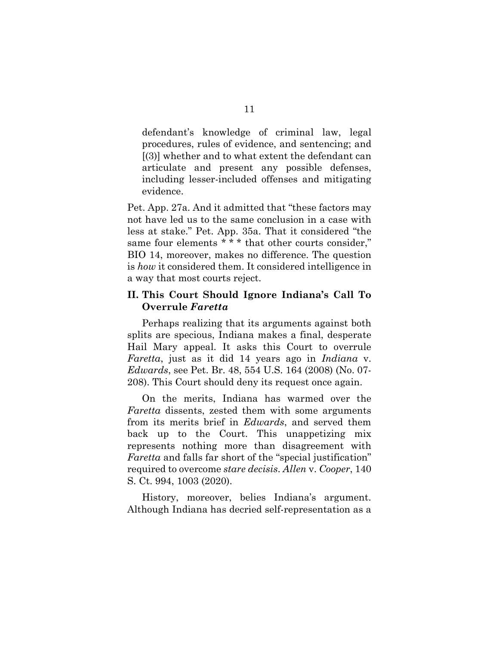defendant's knowledge of criminal law, legal procedures, rules of evidence, and sentencing; and [(3)] whether and to what extent the defendant can articulate and present any possible defenses, including lesser-included offenses and mitigating evidence.

Pet. App. 27a. And it admitted that "these factors may not have led us to the same conclusion in a case with less at stake." Pet. App. 35a. That it considered "the same four elements \* \* \* that other courts consider," BIO 14, moreover, makes no difference. The question is *how* it considered them. It considered intelligence in a way that most courts reject.

#### **II. This Court Should Ignore Indiana's Call To Overrule** *Faretta*

Perhaps realizing that its arguments against both splits are specious, Indiana makes a final, desperate Hail Mary appeal. It asks this Court to overrule *Faretta*, just as it did 14 years ago in *Indiana* v. *Edwards*, see Pet. Br. 48, 554 U.S. 164 (2008) (No. 07- 208). This Court should deny its request once again.

On the merits, Indiana has warmed over the *Faretta* dissents, zested them with some arguments from its merits brief in *Edwards*, and served them back up to the Court. This unappetizing mix represents nothing more than disagreement with *Faretta* and falls far short of the "special justification" required to overcome *stare decisis*. *Allen* v. *Cooper*, 140 S. Ct. 994, 1003 (2020).

History, moreover, belies Indiana's argument. Although Indiana has decried self-representation as a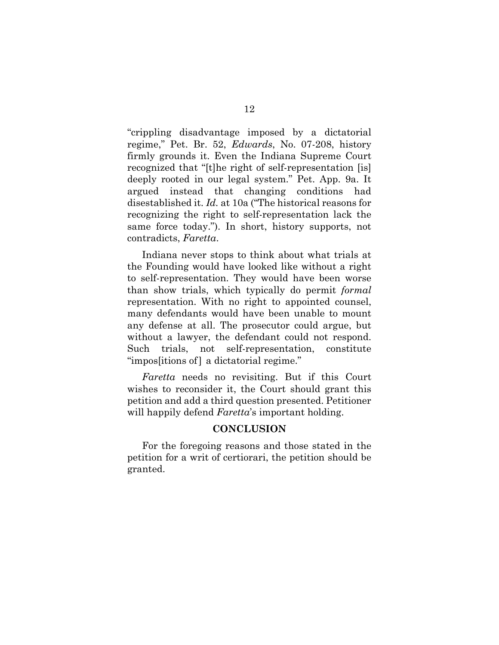"crippling disadvantage imposed by a dictatorial regime," Pet. Br. 52, *Edwards*, No. 07-208, history firmly grounds it. Even the Indiana Supreme Court recognized that "[t]he right of self-representation [is] deeply rooted in our legal system." Pet. App. 9a. It argued instead that changing conditions had disestablished it. *Id.* at 10a ("The historical reasons for recognizing the right to self-representation lack the same force today."). In short, history supports, not contradicts, *Faretta*.

Indiana never stops to think about what trials at the Founding would have looked like without a right to self-representation. They would have been worse than show trials, which typically do permit *formal* representation. With no right to appointed counsel, many defendants would have been unable to mount any defense at all. The prosecutor could argue, but without a lawyer, the defendant could not respond. Such trials, not self-representation, constitute "impossitions of a dictatorial regime."

*Faretta* needs no revisiting. But if this Court wishes to reconsider it, the Court should grant this petition and add a third question presented. Petitioner will happily defend *Faretta*'s important holding.

#### **CONCLUSION**

For the foregoing reasons and those stated in the petition for a writ of certiorari, the petition should be granted.